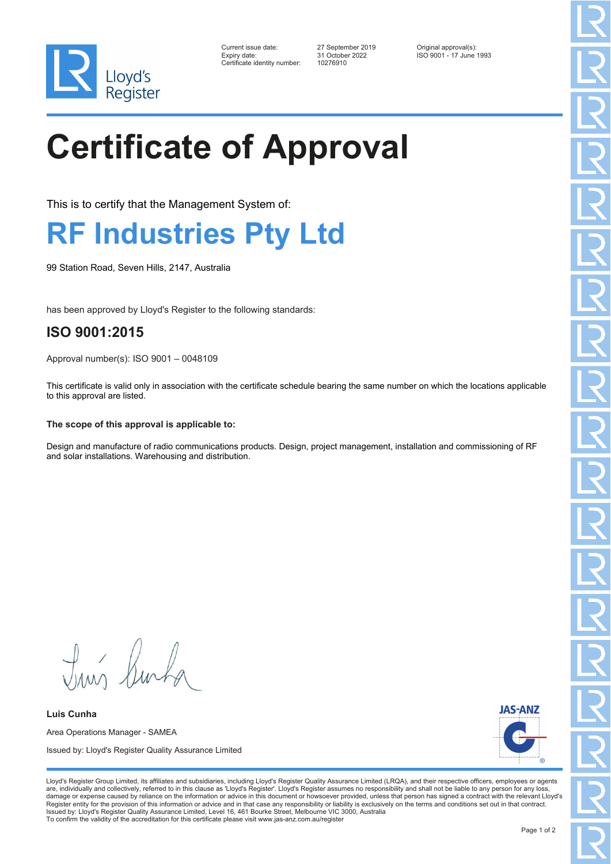

| Current issue date:          | 27 September 2019 | Original approval(s):   |
|------------------------------|-------------------|-------------------------|
| Expiry date:                 | 31 October 2022   | ISO 9001 - 17 June 1993 |
| Certificate identity number: | 10276910          |                         |

Certificate identity number: 10276910

# **Certificate of Approval**

This is to certify that the Management System of:

### **RF Industries Pty Ltd**

99 Station Road, Seven Hills, 2147, Australia

has been approved by Lloyd's Register to the following standards:

### **ISO 9001:2015**

Approval number(s): ISO 9001 – 0048109

This certificate is valid only in association with the certificate schedule bearing the same number on which the locations applicable to this approval are listed.

#### **The scope of this approval is applicable to:**

Design and manufacture of radio communications products. Design, project management, installation and commissioning of RF and solar installations. Warehousing and distribution.

**JAS-ANZ** Lloyd's Register Group Limited, its affiliates and subsidiaries, including Lloyd's Register Quality Assurance Limited (LRQA), and their respective officers, employees or agents are, individually and collectively, referred to in this clause as 'Lloyd's Register'. Lloyd's Register assumes no responsibility and shall not be liable to any person for any los damage or expense caused by reliance on the information or advice in this document or howsoever provided, unless that person has signed a contract with the relevant Lloyd's<br>Register entity for the provision of this informa

Tim Surfa

**Luis Cunha** Area Operations Manager - SAMEA Issued by: Lloyd's Register Quality Assurance Limited

Issued by: Lloyd's Register Quality Assurance Limited, Level 16, 461 Bourke Street, Melbourne VIC 3000, Australia

To confirm the validity of the accreditation for this certificate please visit www.jas-anz.com.au/register

Page 1 of 2